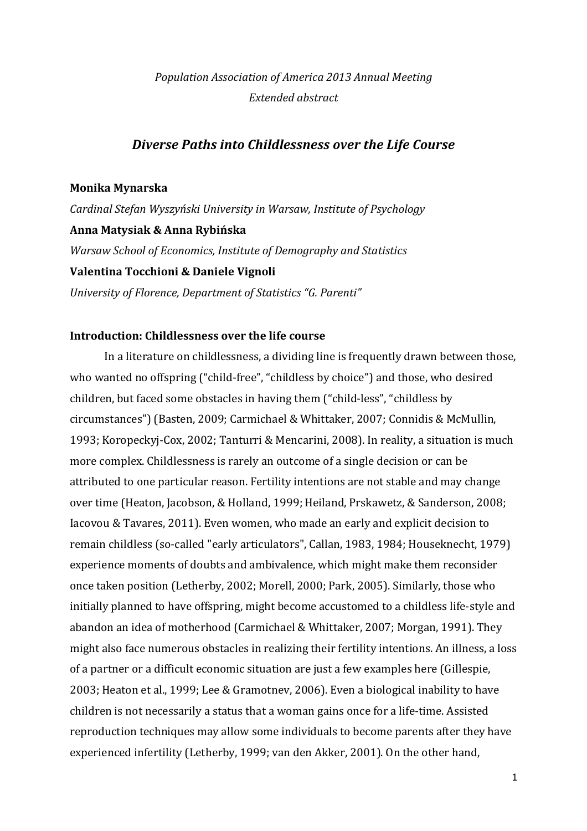# *Population Association of America 2013 Annual Meeting Extended abstract*

# *Diverse Paths into Childlessness over the Life Course*

#### **Monika Mynarska**

*Cardinal Stefan Wyszyński University in Warsaw, Institute of Psychology* **Anna Matysiak & Anna Rybińska** *Warsaw School of Economics, Institute of Demography and Statistics* **Valentina Tocchioni & Daniele Vignoli** *University of Florence, Department of Statistics "G. Parenti"*

## **Introduction: Childlessness over the life course**

In a literature on childlessness, a dividing line is frequently drawn between those, who wanted no offspring ("child-free", "childless by choice") and those, who desired children, but faced some obstacles in having them ("child-less", "childless by circumstances") (Basten, 2009; Carmichael & Whittaker, 2007; Connidis & McMullin, 1993; Koropeckyj-Cox, 2002; Tanturri & Mencarini, 2008). In reality, a situation is much more complex. Childlessness is rarely an outcome of a single decision or can be attributed to one particular reason. Fertility intentions are not stable and may change over time (Heaton, Jacobson, & Holland, 1999; Heiland, Prskawetz, & Sanderson, 2008; Iacovou & Tavares, 2011). Even women, who made an early and explicit decision to remain childless (so-called "early articulators", Callan, 1983, 1984; Houseknecht, 1979) experience moments of doubts and ambivalence, which might make them reconsider once taken position (Letherby, 2002; Morell, 2000; Park, 2005). Similarly, those who initially planned to have offspring, might become accustomed to a childless life-style and abandon an idea of motherhood (Carmichael & Whittaker, 2007; Morgan, 1991). They might also face numerous obstacles in realizing their fertility intentions. An illness, a loss of a partner or a difficult economic situation are just a few examples here (Gillespie, 2003; Heaton et al., 1999; Lee & Gramotnev, 2006). Even a biological inability to have children is not necessarily a status that a woman gains once for a life-time. Assisted reproduction techniques may allow some individuals to become parents after they have experienced infertility (Letherby, 1999; van den Akker, 2001). On the other hand,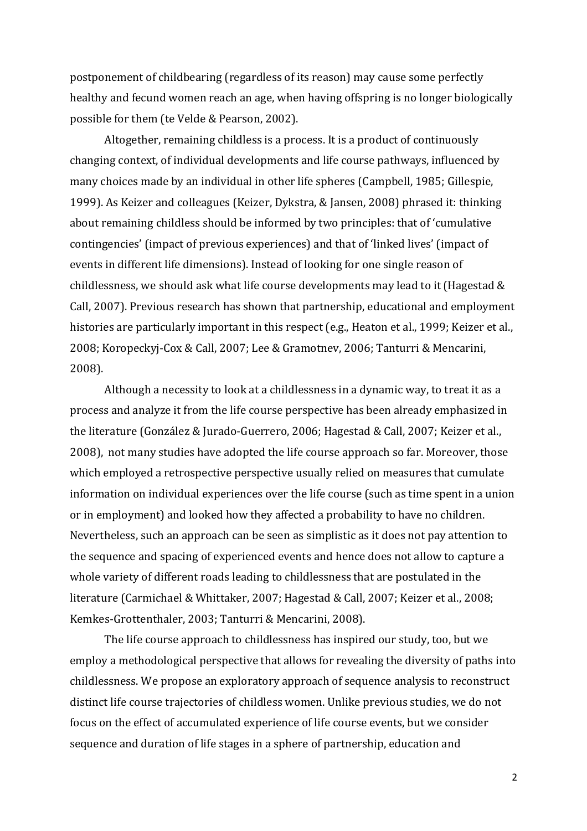postponement of childbearing (regardless of its reason) may cause some perfectly healthy and fecund women reach an age, when having offspring is no longer biologically possible for them (te Velde & Pearson, 2002).

Altogether, remaining childless is a process. It is a product of continuously changing context, of individual developments and life course pathways, influenced by many choices made by an individual in other life spheres (Campbell, 1985; Gillespie, 1999). As Keizer and colleagues (Keizer, Dykstra, & Jansen, 2008) phrased it: thinking about remaining childless should be informed by two principles: that of 'cumulative contingencies' (impact of previous experiences) and that of 'linked lives' (impact of events in different life dimensions). Instead of looking for one single reason of childlessness, we should ask what life course developments may lead to it (Hagestad & Call, 2007). Previous research has shown that partnership, educational and employment histories are particularly important in this respect (e.g., Heaton et al., 1999; Keizer et al., 2008; Koropeckyj-Cox & Call, 2007; Lee & Gramotnev, 2006; Tanturri & Mencarini, 2008).

Although a necessity to look at a childlessness in a dynamic way, to treat it as a process and analyze it from the life course perspective has been already emphasized in the literature (González & Jurado-Guerrero, 2006; Hagestad & Call, 2007; Keizer et al., 2008), not many studies have adopted the life course approach so far. Moreover, those which employed a retrospective perspective usually relied on measures that cumulate information on individual experiences over the life course (such as time spent in a union or in employment) and looked how they affected a probability to have no children. Nevertheless, such an approach can be seen as simplistic as it does not pay attention to the sequence and spacing of experienced events and hence does not allow to capture a whole variety of different roads leading to childlessness that are postulated in the literature (Carmichael & Whittaker, 2007; Hagestad & Call, 2007; Keizer et al., 2008; Kemkes-Grottenthaler, 2003; Tanturri & Mencarini, 2008).

The life course approach to childlessness has inspired our study, too, but we employ a methodological perspective that allows for revealing the diversity of paths into childlessness. We propose an exploratory approach of sequence analysis to reconstruct distinct life course trajectories of childless women. Unlike previous studies, we do not focus on the effect of accumulated experience of life course events, but we consider sequence and duration of life stages in a sphere of partnership, education and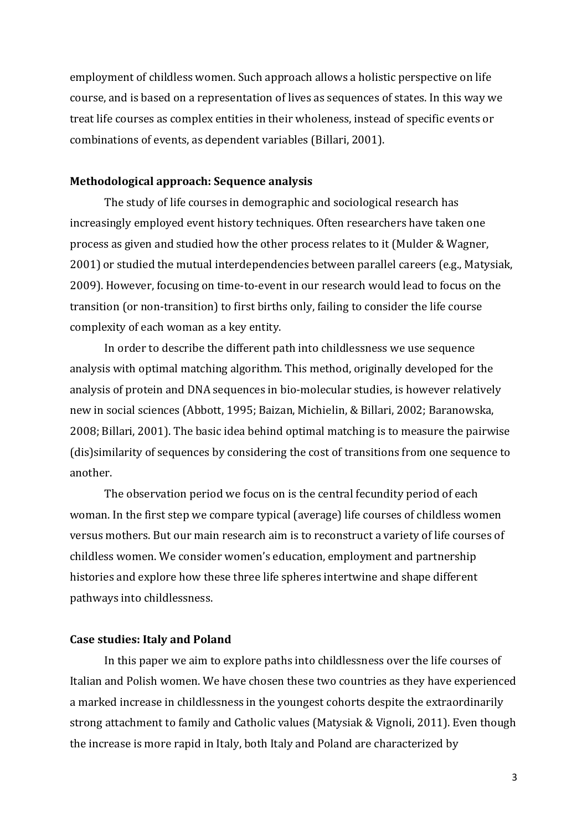employment of childless women. Such approach allows a holistic perspective on life course, and is based on a representation of lives as sequences of states. In this way we treat life courses as complex entities in their wholeness, instead of specific events or combinations of events, as dependent variables (Billari, 2001).

#### **Methodological approach: Sequence analysis**

The study of life courses in demographic and sociological research has increasingly employed event history techniques. Often researchers have taken one process as given and studied how the other process relates to it (Mulder & Wagner, 2001) or studied the mutual interdependencies between parallel careers (e.g., Matysiak, 2009). However, focusing on time-to-event in our research would lead to focus on the transition (or non-transition) to first births only, failing to consider the life course complexity of each woman as a key entity.

In order to describe the different path into childlessness we use sequence analysis with optimal matching algorithm. This method, originally developed for the analysis of protein and DNA sequences in bio-molecular studies, is however relatively new in social sciences (Abbott, 1995; Baizan, Michielin, & Billari, 2002; Baranowska, 2008; Billari, 2001). The basic idea behind optimal matching is to measure the pairwise (dis)similarity of sequences by considering the cost of transitions from one sequence to another.

The observation period we focus on is the central fecundity period of each woman. In the first step we compare typical (average) life courses of childless women versus mothers. But our main research aim is to reconstruct a variety of life courses of childless women. We consider women's education, employment and partnership histories and explore how these three life spheres intertwine and shape different pathways into childlessness.

## **Case studies: Italy and Poland**

In this paper we aim to explore paths into childlessness over the life courses of Italian and Polish women. We have chosen these two countries as they have experienced a marked increase in childlessness in the youngest cohorts despite the extraordinarily strong attachment to family and Catholic values (Matysiak & Vignoli, 2011). Even though the increase is more rapid in Italy, both Italy and Poland are characterized by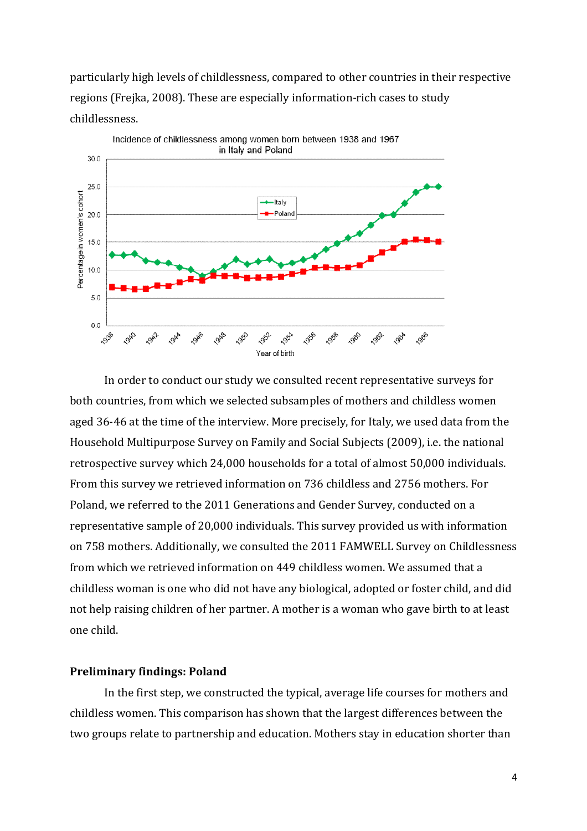particularly high levels of childlessness, compared to other countries in their respective regions (Frejka, 2008). These are especially information-rich cases to study childlessness.



In order to conduct our study we consulted recent representative surveys for both countries, from which we selected subsamples of mothers and childless women aged 36-46 at the time of the interview. More precisely, for Italy, we used data from the Household Multipurpose Survey on Family and Social Subjects (2009), i.e. the national retrospective survey which 24,000 households for a total of almost 50,000 individuals. From this survey we retrieved information on 736 childless and 2756 mothers. For Poland, we referred to the 2011 Generations and Gender Survey, conducted on a representative sample of 20,000 individuals. This survey provided us with information on 758 mothers. Additionally, we consulted the 2011 FAMWELL Survey on Childlessness from which we retrieved information on 449 childless women. We assumed that a childless woman is one who did not have any biological, adopted or foster child, and did not help raising children of her partner. A mother is a woman who gave birth to at least one child.

## **Preliminary findings: Poland**

In the first step, we constructed the typical, average life courses for mothers and childless women. This comparison has shown that the largest differences between the two groups relate to partnership and education. Mothers stay in education shorter than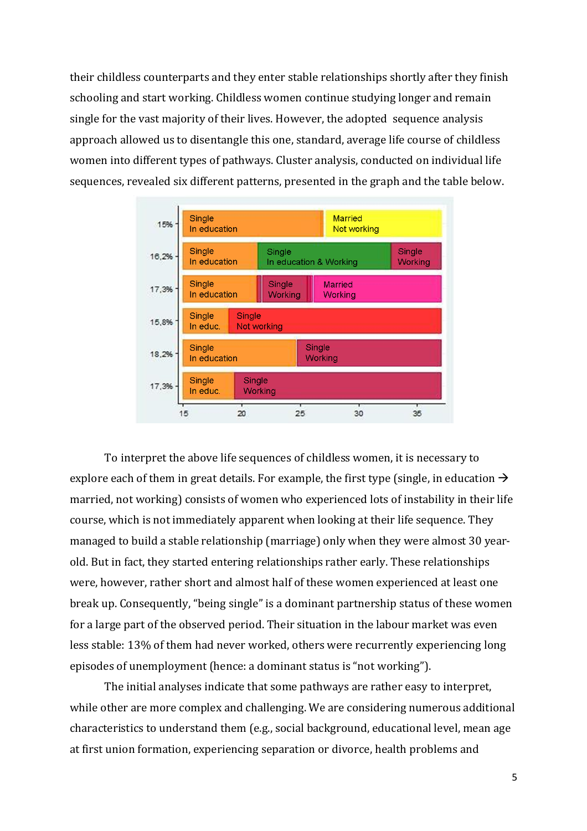their childless counterparts and they enter stable relationships shortly after they finish schooling and start working. Childless women continue studying longer and remain single for the vast majority of their lives. However, the adopted sequence analysis approach allowed us to disentangle this one, standard, average life course of childless women into different types of pathways. Cluster analysis, conducted on individual life sequences, revealed six different patterns, presented in the graph and the table below.



To interpret the above life sequences of childless women, it is necessary to explore each of them in great details. For example, the first type (single, in education  $\rightarrow$ married, not working) consists of women who experienced lots of instability in their life course, which is not immediately apparent when looking at their life sequence. They managed to build a stable relationship (marriage) only when they were almost 30 yearold. But in fact, they started entering relationships rather early. These relationships were, however, rather short and almost half of these women experienced at least one break up. Consequently, "being single" is a dominant partnership status of these women for a large part of the observed period. Their situation in the labour market was even less stable: 13% of them had never worked, others were recurrently experiencing long episodes of unemployment (hence: a dominant status is "not working").

The initial analyses indicate that some pathways are rather easy to interpret, while other are more complex and challenging. We are considering numerous additional characteristics to understand them (e.g., social background, educational level, mean age at first union formation, experiencing separation or divorce, health problems and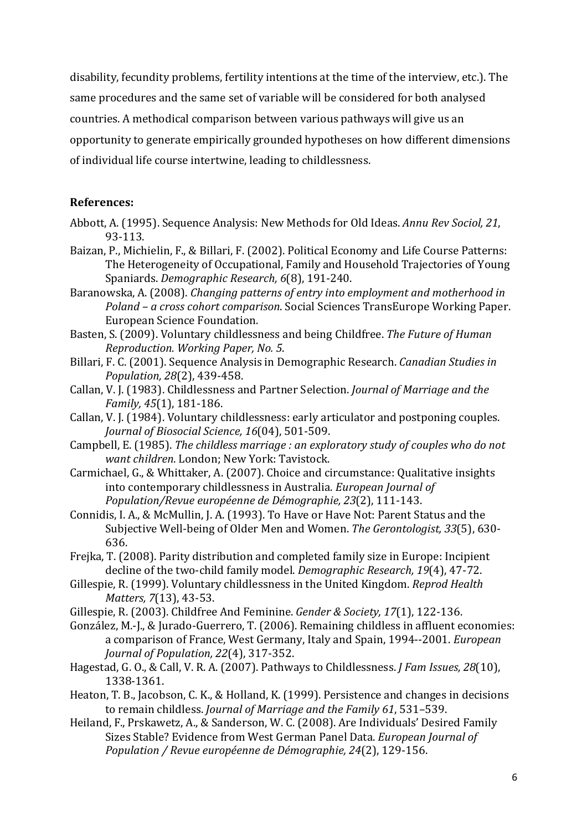disability, fecundity problems, fertility intentions at the time of the interview, etc.). The same procedures and the same set of variable will be considered for both analysed countries. A methodical comparison between various pathways will give us an opportunity to generate empirically grounded hypotheses on how different dimensions of individual life course intertwine, leading to childlessness.

# **References:**

- Abbott, A. (1995). Sequence Analysis: New Methods for Old Ideas. *Annu Rev Sociol, 21*, 93-113.
- Baizan, P., Michielin, F., & Billari, F. (2002). Political Economy and Life Course Patterns: The Heterogeneity of Occupational, Family and Household Trajectories of Young Spaniards. *Demographic Research, 6*(8), 191-240.
- Baranowska, A. (2008). *Changing patterns of entry into employment and motherhood in Poland – a cross cohort comparison*. Social Sciences TransEurope Working Paper. European Science Foundation.
- Basten, S. (2009). Voluntary childlessness and being Childfree. *The Future of Human Reproduction. Working Paper, No. 5*.
- Billari, F. C. (2001). Sequence Analysis in Demographic Research. *Canadian Studies in Population, 28*(2), 439-458.
- Callan, V. J. (1983). Childlessness and Partner Selection. *Journal of Marriage and the Family, 45*(1), 181-186.
- Callan, V. J. (1984). Voluntary childlessness: early articulator and postponing couples. *Journal of Biosocial Science, 16*(04), 501-509.
- Campbell, E. (1985). *The childless marriage : an exploratory study of couples who do not want children*. London; New York: Tavistock.
- Carmichael, G., & Whittaker, A. (2007). Choice and circumstance: Qualitative insights into contemporary childlessness in Australia. *European Journal of Population/Revue européenne de Démographie, 23*(2), 111-143.
- Connidis, I. A., & McMullin, J. A. (1993). To Have or Have Not: Parent Status and the Subjective Well-being of Older Men and Women. *The Gerontologist, 33*(5), 630- 636.
- Frejka, T. (2008). Parity distribution and completed family size in Europe: Incipient decline of the two-child family model. *Demographic Research, 19*(4), 47-72.
- Gillespie, R. (1999). Voluntary childlessness in the United Kingdom. *Reprod Health Matters, 7*(13), 43-53.
- Gillespie, R. (2003). Childfree And Feminine. *Gender & Society, 17*(1), 122-136.
- González, M.-J., & Jurado-Guerrero, T. (2006). Remaining childless in affluent economies: a comparison of France, West Germany, Italy and Spain, 1994--2001. *European Journal of Population, 22*(4), 317-352.
- Hagestad, G. O., & Call, V. R. A. (2007). Pathways to Childlessness. *J Fam Issues, 28*(10), 1338-1361.
- Heaton, T. B., Jacobson, C. K., & Holland, K. (1999). Persistence and changes in decisions to remain childless. *Journal of Marriage and the Family 61*, 531–539.
- Heiland, F., Prskawetz, A., & Sanderson, W. C. (2008). Are Individuals' Desired Family Sizes Stable? Evidence from West German Panel Data. *European Journal of Population / Revue européenne de Démographie, 24*(2), 129-156.